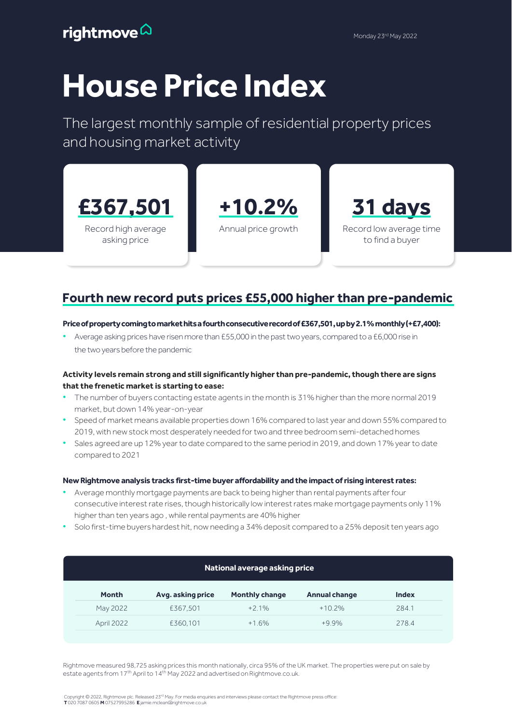# **House Price Index**

The largest monthly sample of residential property prices and housing market activity

£367,501 Record high average asking price 31 days Record low average time to find a buyer +10.2% Annual price growth

### Fourth new record puts prices £55,000 higher than pre-pandemic

#### Price of property coming to market hits a fourth consecutive record of £367,501, up by 2.1% monthly (+£7,400):

• Average asking prices have risen more than £55,000 in the past two years, compared to a £6,000 rise in the twoyears before the pandemic

#### Activity levels remain strong and still significantly higher than pre-pandemic, though there are signs that the frenetic market is starting to ease:

- The number of buyers contacting estate agents in the month is 31% higher than the more normal 2019 market, but down 14% year-on-year
- Speed of market means available properties down 16% compared to last year and down 55% compared to 2019, with new stock most desperately needed for two and three bedroom semi-detached homes
- Sales agreed are up 12% year to date compared to the same period in 2019, and down 17% year to date compared to 2021

#### New Rightmove analysis tracks first-time buyer affordability and the impact of rising interest rates:

- Average monthly mortgage payments are back to being higher than rental payments after four consecutive interest rate rises, though historically low interest rates make mortgage payments only 11% higher than ten years ago , while rental payments are 40% higher
- Solo first-time buyers hardest hit, now needing a 34% deposit compared to a 25% deposit ten years ago

| <b>Month</b><br>Avg. asking price<br><b>Monthly change</b><br><b>Annual change</b> |              |
|------------------------------------------------------------------------------------|--------------|
|                                                                                    | <b>Index</b> |
| $+2.1%$<br>May 2022<br>£367,501<br>$+10.2%$                                        | 284.1        |
| $+9.9%$<br>£360,101<br>$+1.6%$<br>April 2022                                       | 278.4        |

Rightmove measured 98,725 asking prices this month nationally, circa 95% of the UK market. The properties were put on sale by estate agents from 17<sup>th</sup> April to 14<sup>th</sup> May 2022 and advertised on Rightmove.co.uk.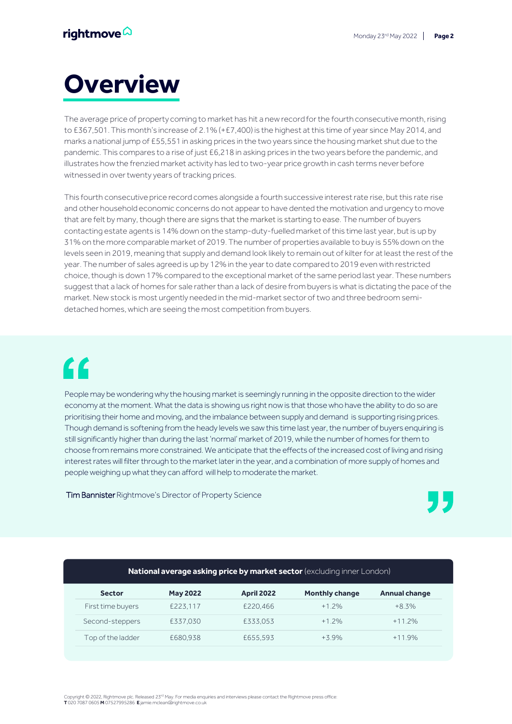# **Overview**

The average price of property coming to market has hit a new record for the fourth consecutive month, rising to £367,501. This month's increase of 2.1% (+£7,400) is the highest at this time of year since May 2014, and marks a national jump of £55,551 in asking prices in the two years since the housing market shut due to the pandemic. This compares to a rise of just £6,218 in asking prices in the two years before the pandemic, and illustrates how the frenzied market activity has led to two-year price growth in cash terms never before witnessed in over twenty years of tracking prices.

This fourth consecutive price record comes alongside a fourth successive interest rate rise, but this rate rise and other household economic concerns do not appear to have dented the motivation and urgency to move that are felt by many, though there are signs that the market is starting to ease. The number of buyers contacting estate agents is 14% down on the stamp-duty-fuelled market of this time last year, butis up by 31% on the more comparable market of 2019. The number of properties available to buy is 55% down on the levels seen in 2019, meaning that supply and demand look likely to remain out of kilter for at least the rest of the year. The number of sales agreed is up by 12% in the year to date compared to 2019 even with restricted choice, though is down 17% compared to the exceptional market of the same period last year. These numbers suggest that a lack of homes for sale rather than a lack of desire from buyers is what is dictating the pace of the market. New stock is most urgently needed in the mid-market sector of two and three bedroom semidetached homes, which are seeing the most competition from buyers.

# $\epsilon$

People may be wondering why the housing market is seemingly running in the opposite direction to the wider economy at the moment. What the data is showing us right now is that those who have the ability to do so are prioritising their home and moving, and the imbalance between supply and demand is supporting rising prices. Though demand is softening from the heady levels we saw this time last year, the number of buyers enquiring is still significantly higher than during the last 'normal' market of 2019, while the number of homes for them to choose from remains more constrained. We anticipate that the effects of the increased cost of living and rising interest rates will filter through to the market later in the year, and a combination of more supply of homes and people weighing up what they can afford will help to moderate the market.

Tim Bannister Rightmove's Director of Property Science



| <b>National average asking price by market sector</b> (excluding inner London) |                 |                   |                       |                      |  |
|--------------------------------------------------------------------------------|-----------------|-------------------|-----------------------|----------------------|--|
| <b>Sector</b>                                                                  | <b>May 2022</b> | <b>April 2022</b> | <b>Monthly change</b> | <b>Annual change</b> |  |
| First time buyers                                                              | £223.117        | £220,466          | $+1.2%$               | $+8.3%$              |  |
| Second-steppers                                                                | £337.030        | £333.053          | $+1.2%$               | $+11.2%$             |  |
| Top of the ladder                                                              | £680.938        | £655,593          | $+3.9%$               | $+11.9%$             |  |
|                                                                                |                 |                   |                       |                      |  |

### National average asking price by market sector (excluding inner London)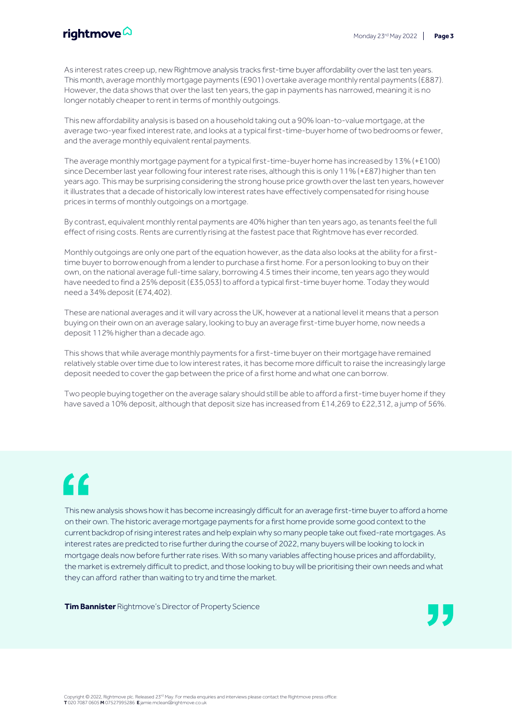### riahtmove $^{\mathsf{Q}}$

As interest rates creep up, new Rightmove analysis tracks first-time buyer affordability over the last ten years. This month, average monthly mortgage payments (£901) overtake average monthly rental payments (£887). However, the data shows that over the last ten years, the gap in payments has narrowed, meaning it is no longer notably cheaper to rent in terms of monthly outgoings.

This new affordability analysis is based on a household taking out a 90% loan-to-value mortgage, at the average two-year fixed interest rate, and looks at a typical first-time-buyer home of two bedrooms or fewer, and the average monthly equivalent rental payments.

The average monthly mortgage payment for a typical first-time-buyer home has increased by 13% (+£100) since December last year following four interest rate rises, although this is only 11% (+£87) higher than ten years ago. This may be surprising considering the strong house price growth over the last ten years, however it illustrates that a decade of historically low interest rates have effectively compensated for rising house prices in terms of monthly outgoings on a mortgage.

By contrast, equivalent monthly rental payments are 40% higher than ten years ago, as tenants feel the full effect of rising costs. Rents are currently rising at the fastest pace that Rightmove has ever recorded.

Monthly outgoings are only one part of the equation however, as the data also looks at the ability for a firsttime buyer to borrow enough from a lender to purchase a first home. For a person looking to buy on their own, on the national average full-time salary, borrowing 4.5 times their income, ten years ago they would have needed to find a 25% deposit (£35,053) to afford a typical first-time buyer home. Today they would need a 34% deposit (£74,402).

These are national averages and it will vary across the UK, however at a national level it means that a person buying on their own on an average salary, looking to buy an average first-time buyer home, now needs a deposit 112% higher than a decade ago.

This shows that while average monthly payments for a first-time buyer on their mortgage have remained relatively stable over time due to low interest rates, it has become more difficult to raise the increasingly large deposit needed to cover the gap between the price of a first home and what one can borrow.

Two people buying together on the average salary should still be able to afford a first-time buyer home if they have saved a 10% deposit, although that deposit size has increased from £14,269 to £22,312, a jump of 56%.

# $\epsilon$

This new analysis shows how it has become increasingly difficult for an average first-time buyer to afford a home on their own. The historic average mortgage payments for a first home provide some good context to the current backdrop of rising interest rates and help explain why so many people take out fixed-rate mortgages. As interest rates are predicted to rise further during the course of 2022, many buyers will be looking to lock in mortgage deals now before further rate rises. With so many variables affecting house prices and affordability, the market is extremely difficult to predict, and those looking to buy will be prioritising their own needs and what they can afford rather than waiting to try and time the market.

**Tim Bannister** Rightmove's Director of Property Science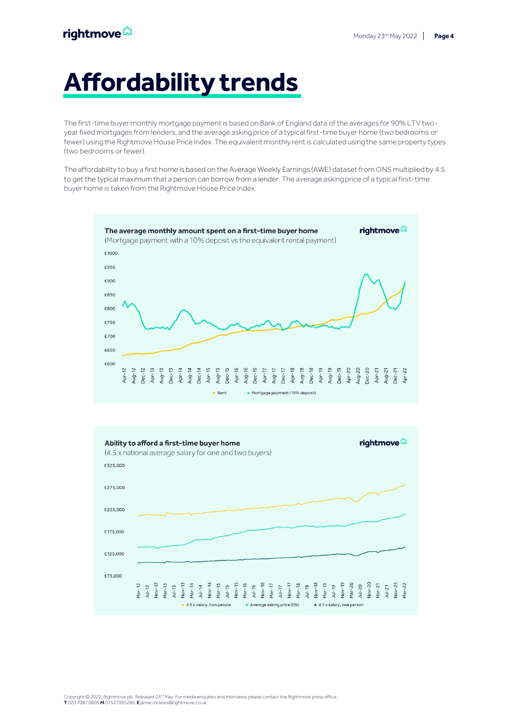# **Affordability trends**

The first-time buyer monthly mortgage payment is based on Bank of England data of the averages for 90% LTV twoyear fixed mortgages from lenders, and the average asking price of a typical first-time buyer home (two bedrooms or fewer) using the Rightmove House Price Index. The equivalent monthly rent is calculated using the same property types (two bedrooms or fewer).

The affordability to buy a first home is based on the Average Weekly Earnings (AWE) dataset from ONS multiplied by 4.5 to get the typical maximum that a person can borrow from a lender. The average asking price of a typical first-time buyer home is taken from the Rightmove House Price Index.



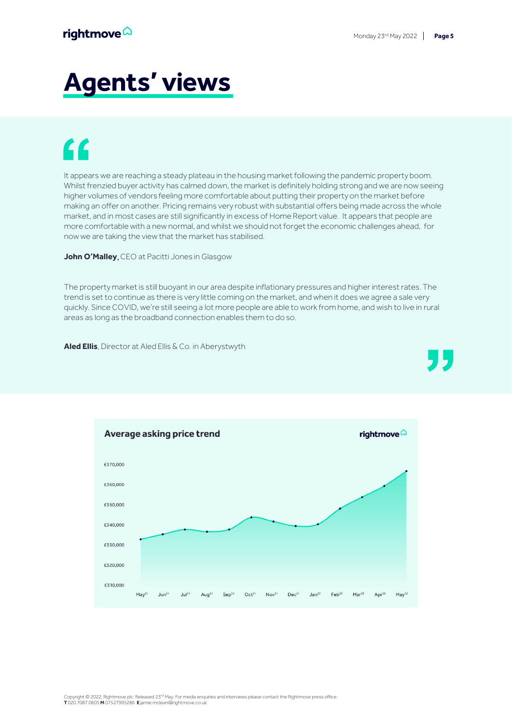# **Agents' views**

# "

It appears we are reaching a steady plateau in the housing market following the pandemic property boom. Whilst frenzied buyer activity has calmed down, the market is definitely holding strong and we are now seeing higher volumes of vendors feeling more comfortable about putting their property on the market before making an offer on another. Pricing remains very robust with substantial offers being made across the whole market, and in most cases are still significantly in excess of Home Report value. It appears that people are more comfortable with a new normal, and whilst we should not forget the economic challenges ahead, for now we are taking the view that the market has stabilised.

**John O'Malley**, CEO at Pacitti Jones in Glasgow

The property market is still buoyant in our area despite inflationary pressures and higher interest rates. The trend is set to continue as there is very little coming on the market, and when it does we agree a sale very quickly. Since COVID, we're still seeing a lot more people are able to work from home, and wish to live in rural areas as long as the broadband connection enables them to do so.

**Aled Ellis**, Director at Aled Ellis & Co. in Aberystwyth

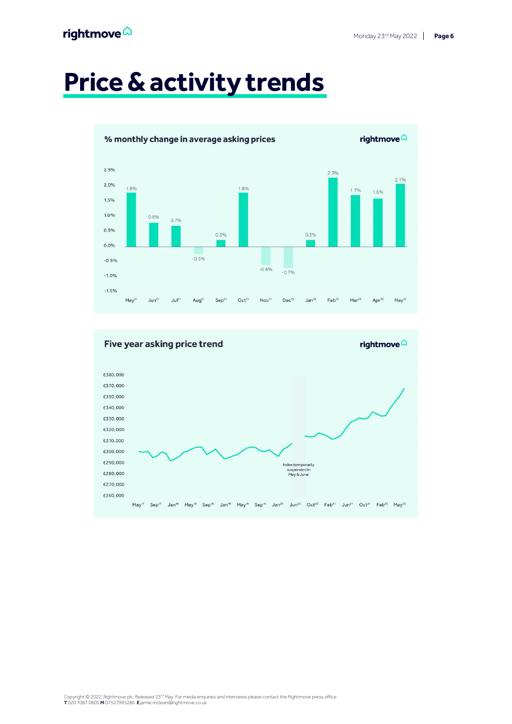## **Price & activity trends**



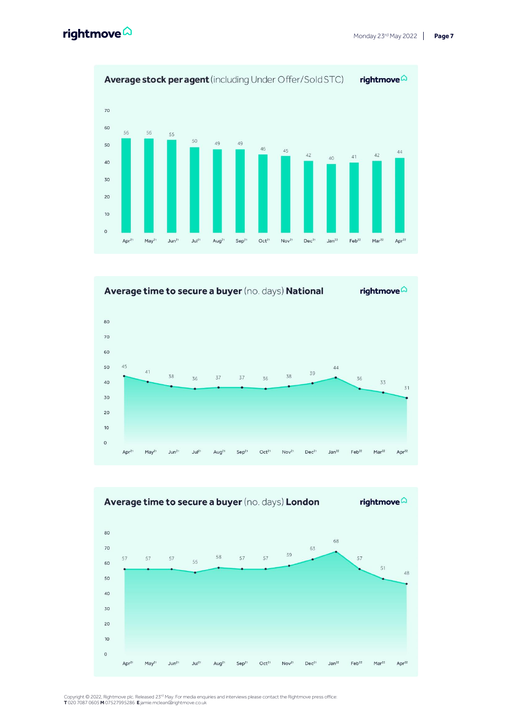





Copyright © 2022, Rightmove plc. Released 23<sup>rd</sup> May. For media enquiries and interviews please contact the Rightmove press office:<br>**T** 020 7087 0605 **M** 07527995286 **E** jamie.mclean@rightmove.co.uk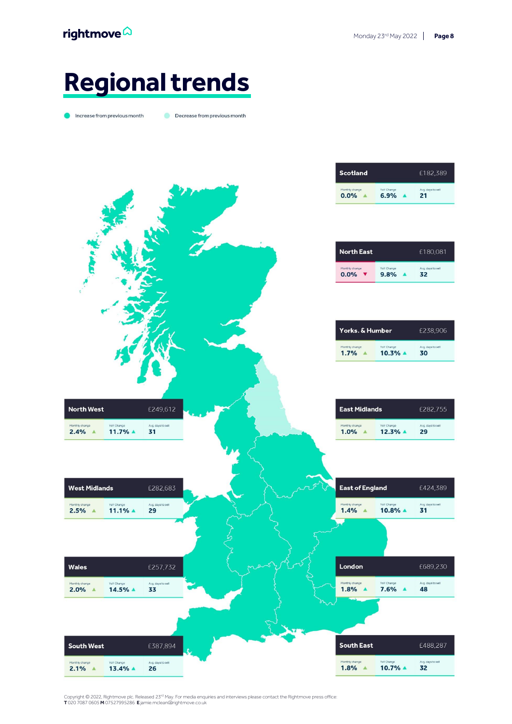## **Regional trends**

ncrease from previous month

Decrease from previous month



Copyright © 2022, Rightmove plc. Released 23<sup>rd</sup> May. For media enquiries and interviews please contact the Rightmove press office:<br>**T** 020 7087 0605 **M** 07527995286 **E** jamie.mclean@rightmove.co.uk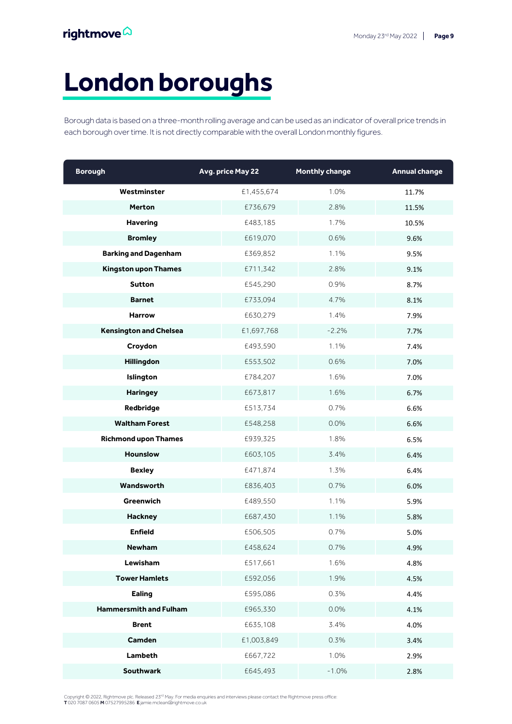# **London boroughs**

Borough data is based on a three-month rolling average and can be used as an indicator of overall price trends in each borough over time. It is not directly comparable with the overall London monthly figures.

| <b>Borough</b>                | Avg. price May 22 | <b>Monthly change</b> | <b>Annual change</b> |
|-------------------------------|-------------------|-----------------------|----------------------|
| Westminster                   | £1,455,674        | 1.0%                  | 11.7%                |
| <b>Merton</b>                 | £736,679          | 2.8%                  | 11.5%                |
| <b>Havering</b>               | £483,185          | 1.7%                  | 10.5%                |
| <b>Bromley</b>                | £619,070          | 0.6%                  | 9.6%                 |
| <b>Barking and Dagenham</b>   | £369,852          | 1.1%                  | 9.5%                 |
| <b>Kingston upon Thames</b>   | £711,342          | 2.8%                  | 9.1%                 |
| <b>Sutton</b>                 | £545,290          | 0.9%                  | 8.7%                 |
| <b>Barnet</b>                 | £733,094          | 4.7%                  | 8.1%                 |
| <b>Harrow</b>                 | £630,279          | 1.4%                  | 7.9%                 |
| <b>Kensington and Chelsea</b> | £1,697,768        | $-2.2%$               | 7.7%                 |
| Croydon                       | £493,590          | 1.1%                  | 7.4%                 |
| Hillingdon                    | £553,502          | 0.6%                  | 7.0%                 |
| Islington                     | £784,207          | 1.6%                  | 7.0%                 |
| <b>Haringey</b>               | £673,817          | 1.6%                  | 6.7%                 |
| Redbridge                     | £513,734          | 0.7%                  | 6.6%                 |
| <b>Waltham Forest</b>         | £548,258          | 0.0%                  | 6.6%                 |
| <b>Richmond upon Thames</b>   | £939,325          | 1.8%                  | 6.5%                 |
| <b>Hounslow</b>               | £603,105          | 3.4%                  | 6.4%                 |
| <b>Bexley</b>                 | £471,874          | 1.3%                  | 6.4%                 |
| Wandsworth                    | £836,403          | 0.7%                  | 6.0%                 |
| Greenwich                     | £489,550          | 1.1%                  | 5.9%                 |
| <b>Hackney</b>                | £687,430          | 1.1%                  | 5.8%                 |
| <b>Enfield</b>                | £506,505          | 0.7%                  | 5.0%                 |
| newnam                        | £458,624          | 0.7%                  | 4.9%                 |
| Lewisham                      | £517,661          | 1.6%                  | 4.8%                 |
| <b>Tower Hamlets</b>          | £592,056          | 1.9%                  | 4.5%                 |
| <b>Ealing</b>                 | £595,086          | 0.3%                  | 4.4%                 |
| <b>Hammersmith and Fulham</b> | £965,330          | 0.0%                  | 4.1%                 |
| <b>Brent</b>                  | £635,108          | 3.4%                  | 4.0%                 |
| <b>Camden</b>                 | £1,003,849        | 0.3%                  | 3.4%                 |
| Lambeth                       | £667,722          | 1.0%                  | 2.9%                 |
| <b>Southwark</b>              | £645,493          | $-1.0%$               | 2.8%                 |

Copyright © 2022, Rightmove plc. Released 23<sup>rd</sup> May. For media enquiries and interviews please contact the Rightmove press office:<br>**T** 020 7087 0605 **M** 07527995286 **E** jamie.mclean@rightmove.co.uk